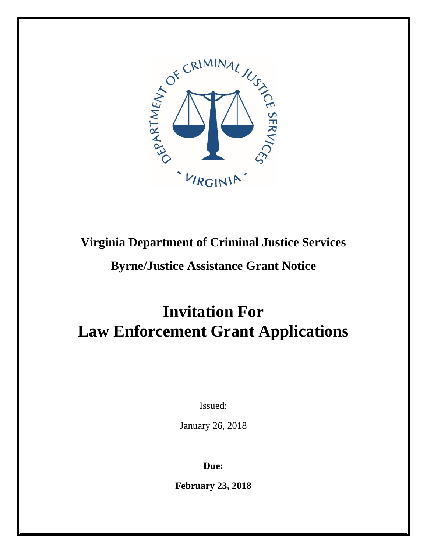

# **Virginia Department of Criminal Justice Services**

# **Byrne/Justice Assistance Grant Notice**

# **Invitation For Law Enforcement Grant Applications**

Issued:

January 26, 2018

**Due:**

**February 23, 2018**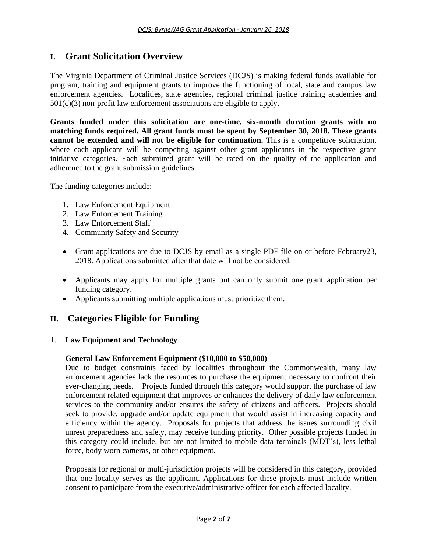# **I. Grant Solicitation Overview**

The Virginia Department of Criminal Justice Services (DCJS) is making federal funds available for program, training and equipment grants to improve the functioning of local, state and campus law enforcement agencies. Localities, state agencies, regional criminal justice training academies and  $501(c)(3)$  non-profit law enforcement associations are eligible to apply.

**Grants funded under this solicitation are one-time, six-month duration grants with no matching funds required. All grant funds must be spent by September 30, 2018. These grants cannot be extended and will not be eligible for continuation.** This is a competitive solicitation, where each applicant will be competing against other grant applicants in the respective grant initiative categories. Each submitted grant will be rated on the quality of the application and adherence to the grant submission guidelines.

The funding categories include:

- 1. Law Enforcement Equipment
- 2. Law Enforcement Training
- 3. Law Enforcement Staff
- 4. Community Safety and Security
- Grant applications are due to DCJS by email as a single PDF file on or before February23, 2018. Applications submitted after that date will not be considered.
- Applicants may apply for multiple grants but can only submit one grant application per funding category.
- Applicants submitting multiple applications must prioritize them.

# **II. Categories Eligible for Funding**

# 1. **Law Equipment and Technology**

# **General Law Enforcement Equipment (\$10,000 to \$50,000)**

Due to budget constraints faced by localities throughout the Commonwealth, many law enforcement agencies lack the resources to purchase the equipment necessary to confront their ever-changing needs. Projects funded through this category would support the purchase of law enforcement related equipment that improves or enhances the delivery of daily law enforcement services to the community and/or ensures the safety of citizens and officers. Projects should seek to provide, upgrade and/or update equipment that would assist in increasing capacity and efficiency within the agency. Proposals for projects that address the issues surrounding civil unrest preparedness and safety, may receive funding priority. Other possible projects funded in this category could include, but are not limited to mobile data terminals (MDT's), less lethal force, body worn cameras, or other equipment.

Proposals for regional or multi-jurisdiction projects will be considered in this category, provided that one locality serves as the applicant. Applications for these projects must include written consent to participate from the executive/administrative officer for each affected locality.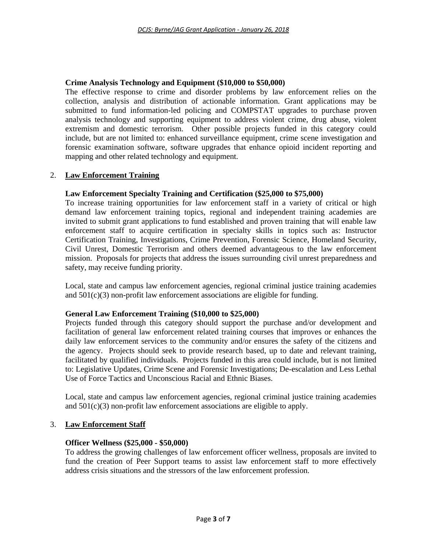# **Crime Analysis Technology and Equipment (\$10,000 to \$50,000)**

The effective response to crime and disorder problems by law enforcement relies on the collection, analysis and distribution of actionable information. Grant applications may be submitted to fund information-led policing and COMPSTAT upgrades to purchase proven analysis technology and supporting equipment to address violent crime, drug abuse, violent extremism and domestic terrorism. Other possible projects funded in this category could include, but are not limited to: enhanced surveillance equipment, crime scene investigation and forensic examination software, software upgrades that enhance opioid incident reporting and mapping and other related technology and equipment.

# 2. **Law Enforcement Training**

#### **Law Enforcement Specialty Training and Certification (\$25,000 to \$75,000)**

To increase training opportunities for law enforcement staff in a variety of critical or high demand law enforcement training topics, regional and independent training academies are invited to submit grant applications to fund established and proven training that will enable law enforcement staff to acquire certification in specialty skills in topics such as: Instructor Certification Training, Investigations, Crime Prevention, Forensic Science, Homeland Security, Civil Unrest, Domestic Terrorism and others deemed advantageous to the law enforcement mission. Proposals for projects that address the issues surrounding civil unrest preparedness and safety, may receive funding priority.

Local, state and campus law enforcement agencies, regional criminal justice training academies and 501(c)(3) non-profit law enforcement associations are eligible for funding.

#### **General Law Enforcement Training (\$10,000 to \$25,000)**

Projects funded through this category should support the purchase and/or development and facilitation of general law enforcement related training courses that improves or enhances the daily law enforcement services to the community and/or ensures the safety of the citizens and the agency. Projects should seek to provide research based, up to date and relevant training, facilitated by qualified individuals. Projects funded in this area could include, but is not limited to: Legislative Updates, Crime Scene and Forensic Investigations; De-escalation and Less Lethal Use of Force Tactics and Unconscious Racial and Ethnic Biases.

Local, state and campus law enforcement agencies, regional criminal justice training academies and  $501(c)(3)$  non-profit law enforcement associations are eligible to apply.

#### 3. **Law Enforcement Staff**

#### **Officer Wellness (\$25,000 - \$50,000)**

To address the growing challenges of law enforcement officer wellness, proposals are invited to fund the creation of Peer Support teams to assist law enforcement staff to more effectively address crisis situations and the stressors of the law enforcement profession.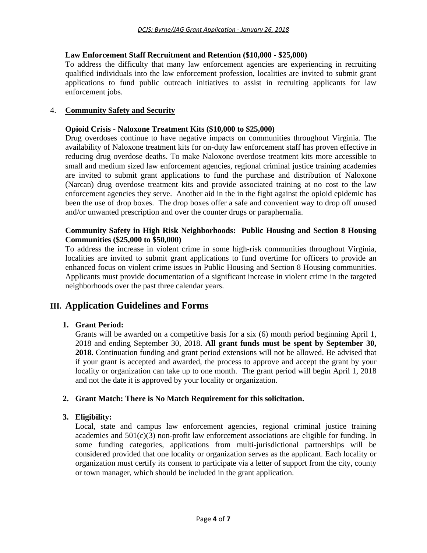# **Law Enforcement Staff Recruitment and Retention (\$10,000 - \$25,000)**

To address the difficulty that many law enforcement agencies are experiencing in recruiting qualified individuals into the law enforcement profession, localities are invited to submit grant applications to fund public outreach initiatives to assist in recruiting applicants for law enforcement jobs.

## 4. **Community Safety and Security**

## **Opioid Crisis - Naloxone Treatment Kits (\$10,000 to \$25,000)**

Drug overdoses continue to have negative impacts on communities throughout Virginia. The availability of Naloxone treatment kits for on-duty law enforcement staff has proven effective in reducing drug overdose deaths. To make Naloxone overdose treatment kits more accessible to small and medium sized law enforcement agencies, regional criminal justice training academies are invited to submit grant applications to fund the purchase and distribution of Naloxone (Narcan) drug overdose treatment kits and provide associated training at no cost to the law enforcement agencies they serve. Another aid in the in the fight against the opioid epidemic has been the use of drop boxes. The drop boxes offer a safe and convenient way to drop off unused and/or unwanted prescription and over the counter drugs or paraphernalia.

## **Community Safety in High Risk Neighborhoods: Public Housing and Section 8 Housing Communities (\$25,000 to \$50,000)**

To address the increase in violent crime in some high-risk communities throughout Virginia, localities are invited to submit grant applications to fund overtime for officers to provide an enhanced focus on violent crime issues in Public Housing and Section 8 Housing communities. Applicants must provide documentation of a significant increase in violent crime in the targeted neighborhoods over the past three calendar years.

# **III. Application Guidelines and Forms**

# **1. Grant Period:**

Grants will be awarded on a competitive basis for a six (6) month period beginning April 1, 2018 and ending September 30, 2018. **All grant funds must be spent by September 30, 2018.** Continuation funding and grant period extensions will not be allowed. Be advised that if your grant is accepted and awarded, the process to approve and accept the grant by your locality or organization can take up to one month. The grant period will begin April 1, 2018 and not the date it is approved by your locality or organization.

# **2. Grant Match: There is No Match Requirement for this solicitation.**

#### **3. Eligibility:**

Local, state and campus law enforcement agencies, regional criminal justice training academies and 501(c)(3) non-profit law enforcement associations are eligible for funding. In some funding categories, applications from multi-jurisdictional partnerships will be considered provided that one locality or organization serves as the applicant. Each locality or organization must certify its consent to participate via a letter of support from the city, county or town manager, which should be included in the grant application.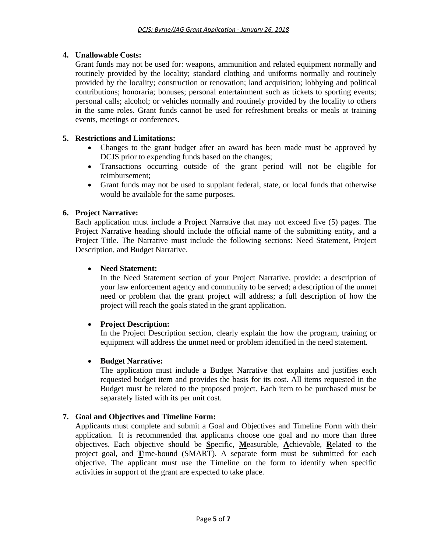# **4. Unallowable Costs:**

Grant funds may not be used for: weapons, ammunition and related equipment normally and routinely provided by the locality; standard clothing and uniforms normally and routinely provided by the locality; construction or renovation; land acquisition; lobbying and political contributions; honoraria; bonuses; personal entertainment such as tickets to sporting events; personal calls; alcohol; or vehicles normally and routinely provided by the locality to others in the same roles. Grant funds cannot be used for refreshment breaks or meals at training events, meetings or conferences.

# **5. Restrictions and Limitations:**

- Changes to the grant budget after an award has been made must be approved by DCJS prior to expending funds based on the changes;
- Transactions occurring outside of the grant period will not be eligible for reimbursement;
- Grant funds may not be used to supplant federal, state, or local funds that otherwise would be available for the same purposes.

# **6. Project Narrative:**

Each application must include a Project Narrative that may not exceed five (5) pages. The Project Narrative heading should include the official name of the submitting entity, and a Project Title. The Narrative must include the following sections: Need Statement, Project Description, and Budget Narrative.

# **Need Statement:**

In the Need Statement section of your Project Narrative, provide: a description of your law enforcement agency and community to be served; a description of the unmet need or problem that the grant project will address; a full description of how the project will reach the goals stated in the grant application.

# **Project Description:**

In the Project Description section, clearly explain the how the program, training or equipment will address the unmet need or problem identified in the need statement.

# **Budget Narrative:**

The application must include a Budget Narrative that explains and justifies each requested budget item and provides the basis for its cost. All items requested in the Budget must be related to the proposed project. Each item to be purchased must be separately listed with its per unit cost.

# **7. Goal and Objectives and Timeline Form:**

Applicants must complete and submit a Goal and Objectives and Timeline Form with their application. It is recommended that applicants choose one goal and no more than three objectives. Each objective should be **S**pecific, **M**easurable, **A**chievable, **R**elated to the project goal, and **T**ime-bound (SMART). A separate form must be submitted for each objective. The applicant must use the Timeline on the form to identify when specific activities in support of the grant are expected to take place.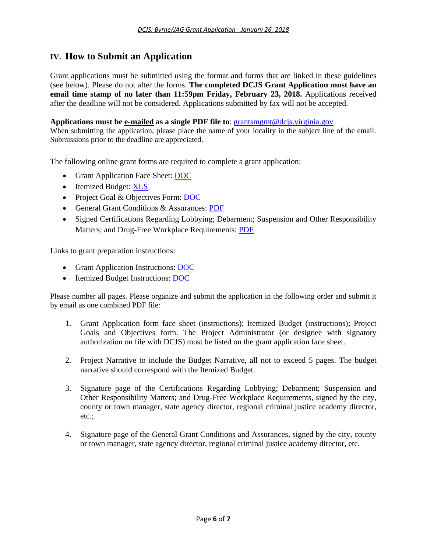# **IV. How to Submit an Application**

Grant applications must be submitted using the format and forms that are linked in these guidelines (see below). Please do not alter the forms. **The completed DCJS Grant Application must have an email time stamp of no later than 11:59pm Friday, February 23, 2018.** Applications received after the deadline will not be considered. Applications submitted by fax will not be accepted.

#### **Applications must be e-mailed as a single PDF file to**: [grantsmgmt@dcjs.virginia.gov](mailto:grantsmgmt@dcjs.virginia.gov)

When submitting the application, please place the name of your locality in the subject line of the email. Submissions prior to the deadline are appreciated.

The following online grant forms are required to complete a grant application:

- Grant Application Face Sheet: **DOC**
- Itemized Budget: [XLS](https://www.dcjs.virginia.gov/sites/dcjs.virginia.gov/files/grants/common/itemized-budget.xls)
- Project Goal & Objectives Form: [DOC](https://www.dcjs.virginia.gov/sites/dcjs.virginia.gov/files/grants/common/project-goals-objectives-form.doc)
- General Grant Conditions & Assurances: [PDF](https://www.dcjs.virginia.gov/sites/dcjs.virginia.gov/files/grants/common/general-grant-conditions-assurances.pdf)
- Signed Certifications Regarding Lobbying; Debarment; Suspension and Other Responsibility Matters; and Drug-Free Workplace Requirements: [PDF](https://www.dcjs.virginia.gov/sites/dcjs.virginia.gov/files/grants/common/signed-certifications-regarding-lobbying-debarment-suspension-and-other-responsibility-matters-and.pdf)

Links to grant preparation instructions:

- Grant Application Instructions: **DOC**
- Itemized Budget Instructions: [DOC](https://www.dcjs.virginia.gov/sites/dcjs.virginia.gov/files/grants/common/itemized-budget-instructions.doc)

Please number all pages. Please organize and submit the application in the following order and submit it by email as one combined PDF file:

- 1. Grant Application form face sheet (instructions); Itemized Budget (instructions); Project Goals and Objectives form. The Project Administrator (or designee with signatory authorization on file with DCJS) must be listed on the grant application face sheet.
- 2. Project Narrative to include the Budget Narrative, all not to exceed 5 pages. The budget narrative should correspond with the Itemized Budget.
- 3. Signature page of the Certifications Regarding Lobbying; Debarment; Suspension and Other Responsibility Matters; and Drug-Free Workplace Requirements, signed by the city, county or town manager, state agency director, regional criminal justice academy director, etc.;
- 4. Signature page of the General Grant Conditions and Assurances, signed by the city, county or town manager, state agency director, regional criminal justice academy director, etc.